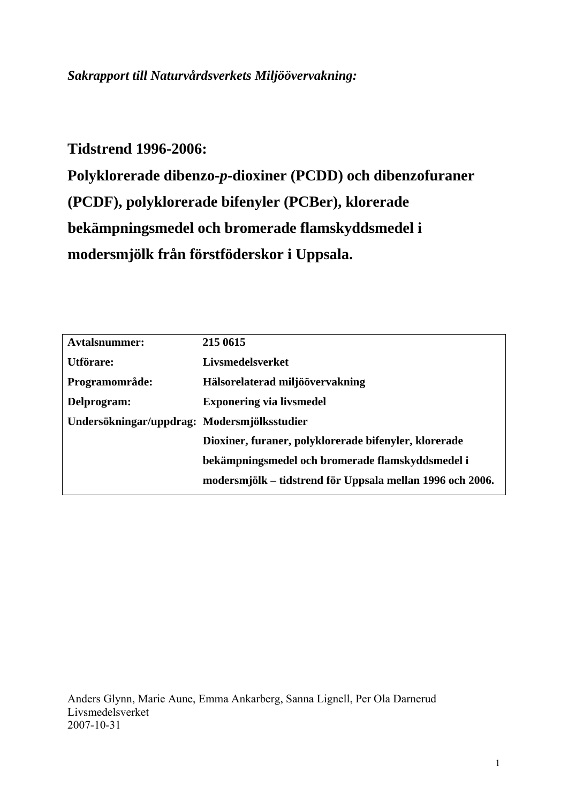# *Sakrapport till Naturvårdsverkets Miljöövervakning:*

**Tidstrend 1996-2006: Polyklorerade dibenzo-***p***-dioxiner (PCDD) och dibenzofuraner (PCDF), polyklorerade bifenyler (PCBer), klorerade bekämpningsmedel och bromerade flamskyddsmedel i modersmjölk från förstföderskor i Uppsala.** 

| <b>Avtalsnummer:</b>                        | 215 0615                                                  |
|---------------------------------------------|-----------------------------------------------------------|
| Utförare:                                   | Livsmedelsverket                                          |
| Programområde:                              | Hälsorelaterad miljöövervakning                           |
| Delprogram:                                 | <b>Exponering via livsmedel</b>                           |
| Undersökningar/uppdrag: Modersmjölksstudier |                                                           |
|                                             | Dioxiner, furaner, polyklorerade bifenyler, klorerade     |
|                                             | bekämpningsmedel och bromerade flamskyddsmedel i          |
|                                             | modersmjölk – tidstrend för Uppsala mellan 1996 och 2006. |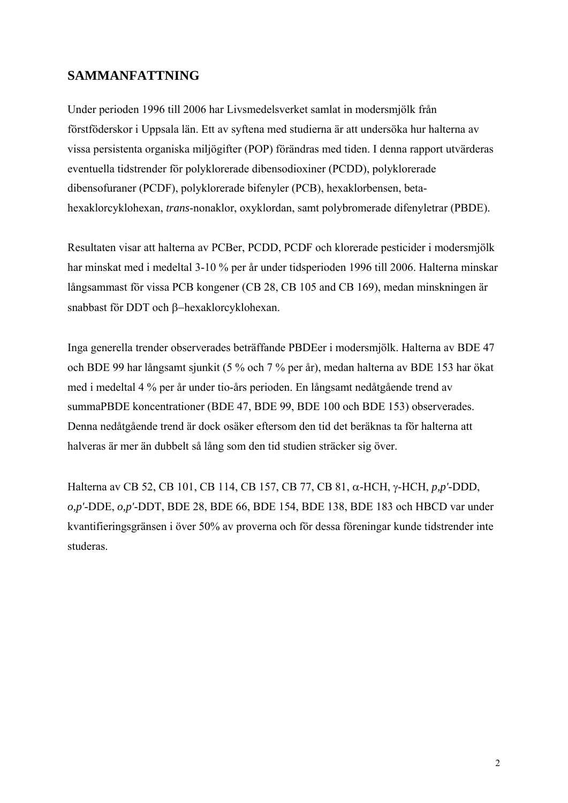## **SAMMANFATTNING**

Under perioden 1996 till 2006 har Livsmedelsverket samlat in modersmjölk från förstföderskor i Uppsala län. Ett av syftena med studierna är att undersöka hur halterna av vissa persistenta organiska miljögifter (POP) förändras med tiden. I denna rapport utvärderas eventuella tidstrender för polyklorerade dibensodioxiner (PCDD), polyklorerade dibensofuraner (PCDF), polyklorerade bifenyler (PCB), hexaklorbensen, betahexaklorcyklohexan, *trans*-nonaklor, oxyklordan, samt polybromerade difenyletrar (PBDE).

Resultaten visar att halterna av PCBer, PCDD, PCDF och klorerade pesticider i modersmjölk har minskat med i medeltal 3-10 % per år under tidsperioden 1996 till 2006. Halterna minskar långsammast för vissa PCB kongener (CB 28, CB 105 and CB 169), medan minskningen är snabbast för DDT och β−hexaklorcyklohexan.

Inga generella trender observerades beträffande PBDEer i modersmjölk. Halterna av BDE 47 och BDE 99 har långsamt sjunkit (5 % och 7 % per år), medan halterna av BDE 153 har ökat med i medeltal 4 % per år under tio-års perioden. En långsamt nedåtgående trend av summaPBDE koncentrationer (BDE 47, BDE 99, BDE 100 och BDE 153) observerades. Denna nedåtgående trend är dock osäker eftersom den tid det beräknas ta för halterna att halveras är mer än dubbelt så lång som den tid studien sträcker sig över.

Halterna av CB 52, CB 101, CB 114, CB 157, CB 77, CB 81, α-HCH, γ-HCH, *p,p'-*DDD, *o,p'*-DDE, *o,p'*-DDT, BDE 28, BDE 66, BDE 154, BDE 138, BDE 183 och HBCD var under kvantifieringsgränsen i över 50% av proverna och för dessa föreningar kunde tidstrender inte studeras.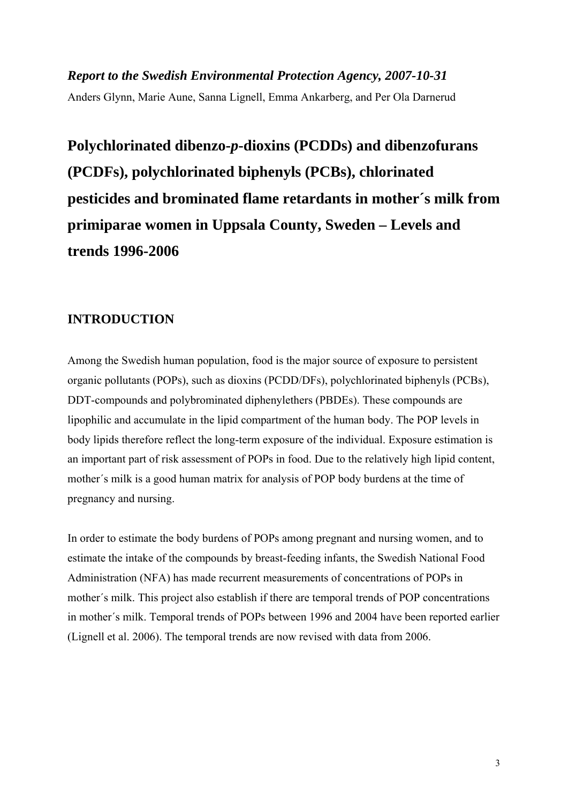*Report to the Swedish Environmental Protection Agency, 2007-10-31*  Anders Glynn, Marie Aune, Sanna Lignell, Emma Ankarberg, and Per Ola Darnerud

**Polychlorinated dibenzo-***p***-dioxins (PCDDs) and dibenzofurans (PCDFs), polychlorinated biphenyls (PCBs), chlorinated pesticides and brominated flame retardants in mother´s milk from primiparae women in Uppsala County, Sweden – Levels and trends 1996-2006** 

### **INTRODUCTION**

Among the Swedish human population, food is the major source of exposure to persistent organic pollutants (POPs), such as dioxins (PCDD/DFs), polychlorinated biphenyls (PCBs), DDT-compounds and polybrominated diphenylethers (PBDEs). These compounds are lipophilic and accumulate in the lipid compartment of the human body. The POP levels in body lipids therefore reflect the long-term exposure of the individual. Exposure estimation is an important part of risk assessment of POPs in food. Due to the relatively high lipid content, mother´s milk is a good human matrix for analysis of POP body burdens at the time of pregnancy and nursing.

In order to estimate the body burdens of POPs among pregnant and nursing women, and to estimate the intake of the compounds by breast-feeding infants, the Swedish National Food Administration (NFA) has made recurrent measurements of concentrations of POPs in mother´s milk. This project also establish if there are temporal trends of POP concentrations in mother´s milk. Temporal trends of POPs between 1996 and 2004 have been reported earlier (Lignell et al. 2006). The temporal trends are now revised with data from 2006.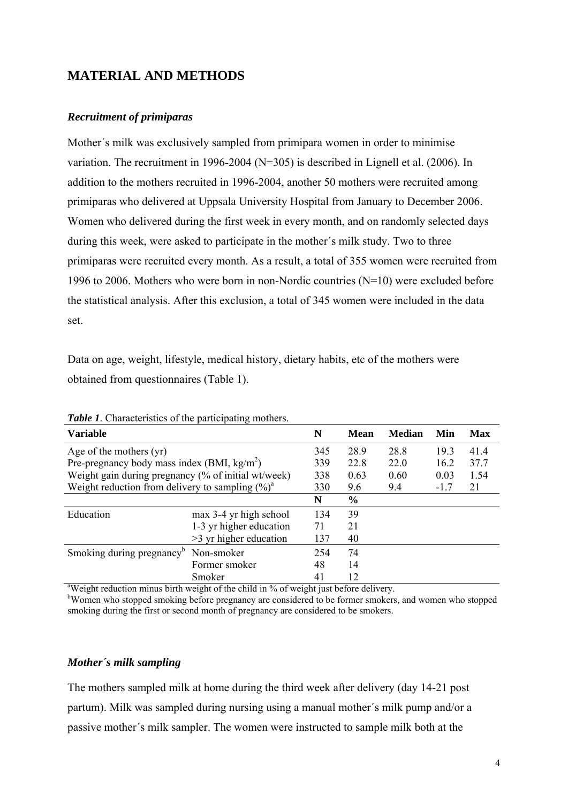# **MATERIAL AND METHODS**

#### *Recruitment of primiparas*

Mother´s milk was exclusively sampled from primipara women in order to minimise variation. The recruitment in 1996-2004 (N=305) is described in Lignell et al. (2006). In addition to the mothers recruited in 1996-2004, another 50 mothers were recruited among primiparas who delivered at Uppsala University Hospital from January to December 2006. Women who delivered during the first week in every month, and on randomly selected days during this week, were asked to participate in the mother´s milk study. Two to three primiparas were recruited every month. As a result, a total of 355 women were recruited from 1996 to 2006. Mothers who were born in non-Nordic countries  $(N=10)$  were excluded before the statistical analysis. After this exclusion, a total of 345 women were included in the data set.

Data on age, weight, lifestyle, medical history, dietary habits, etc of the mothers were obtained from questionnaires (Table 1).

| <b>Variable</b>                                       |                          | N   | <b>Mean</b>   | <b>Median</b> | Min    | Max  |
|-------------------------------------------------------|--------------------------|-----|---------------|---------------|--------|------|
| Age of the mothers $(yr)$                             |                          | 345 | 28.9          | 28.8          | 19.3   | 41.4 |
| Pre-pregnancy body mass index (BMI, $\text{kg/m}^2$ ) |                          | 339 | 22.8          | 22.0          | 16.2   | 37.7 |
| Weight gain during pregnancy (% of initial wt/week)   |                          | 338 | 0.63          | 0.60          | 0.03   | 1.54 |
| Weight reduction from delivery to sampling $(\%)^a$   |                          | 330 | 9.6           | 9.4           | $-1.7$ | 21   |
|                                                       |                          | N   | $\frac{0}{0}$ |               |        |      |
| Education                                             | max 3-4 yr high school   | 134 | 39            |               |        |      |
|                                                       | 1-3 yr higher education  | 71  | 21            |               |        |      |
|                                                       | $>3$ yr higher education | 137 | 40            |               |        |      |
| Smoking during pregnancy <sup>b</sup>                 | Non-smoker               | 254 | 74            |               |        |      |
|                                                       | Former smoker            | 48  | 14            |               |        |      |
|                                                       | Smoker                   | 41  | 12            |               |        |      |

*Table 1*. Characteristics of the participating mothers.

Smoker 41 12<br><sup>a</sup>Weight reduction minus birth weight of the child in % of weight just before delivery.

<sup>b</sup>Women who stopped smoking before pregnancy are considered to be former smokers, and women who stopped smoking during the first or second month of pregnancy are considered to be smokers.

#### *Mother´s milk sampling*

The mothers sampled milk at home during the third week after delivery (day 14-21 post partum). Milk was sampled during nursing using a manual mother´s milk pump and/or a passive mother´s milk sampler. The women were instructed to sample milk both at the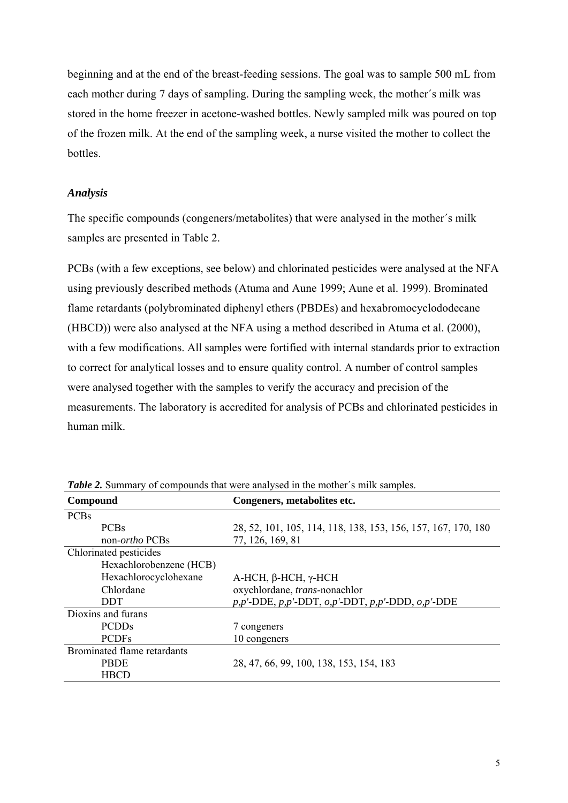beginning and at the end of the breast-feeding sessions. The goal was to sample 500 mL from each mother during 7 days of sampling. During the sampling week, the mother´s milk was stored in the home freezer in acetone-washed bottles. Newly sampled milk was poured on top of the frozen milk. At the end of the sampling week, a nurse visited the mother to collect the bottles.

#### *Analysis*

The specific compounds (congeners/metabolites) that were analysed in the mother´s milk samples are presented in Table 2.

PCBs (with a few exceptions, see below) and chlorinated pesticides were analysed at the NFA using previously described methods (Atuma and Aune 1999; Aune et al. 1999). Brominated flame retardants (polybrominated diphenyl ethers (PBDEs) and hexabromocyclododecane (HBCD)) were also analysed at the NFA using a method described in Atuma et al. (2000), with a few modifications. All samples were fortified with internal standards prior to extraction to correct for analytical losses and to ensure quality control. A number of control samples were analysed together with the samples to verify the accuracy and precision of the measurements. The laboratory is accredited for analysis of PCBs and chlorinated pesticides in human milk.

| Compound                    | Congeners, metabolites etc.                                          |
|-----------------------------|----------------------------------------------------------------------|
| <b>PCBs</b>                 |                                                                      |
| <b>PCBs</b>                 | 28, 52, 101, 105, 114, 118, 138, 153, 156, 157, 167, 170, 180        |
| non- <i>ortho</i> PCBs      | 77, 126, 169, 81                                                     |
| Chlorinated pesticides      |                                                                      |
| Hexachlorobenzene (HCB)     |                                                                      |
| Hexachlorocyclohexane       | $A$ -HCH, $\beta$ -HCH, $\gamma$ -HCH                                |
| Chlordane                   | oxychlordane, trans-nonachlor                                        |
| <b>DDT</b>                  | $p, p'$ -DDE, $p, p'$ -DDT, $o, p'$ -DDT, $p, p'$ -DDD, $o, p'$ -DDE |
| Dioxins and furans          |                                                                      |
| <b>PCDDs</b>                | 7 congeners                                                          |
| <b>PCDFs</b>                | 10 congeners                                                         |
| Brominated flame retardants |                                                                      |
| <b>PBDE</b>                 | 28, 47, 66, 99, 100, 138, 153, 154, 183                              |
| <b>HBCD</b>                 |                                                                      |

*Table 2.* Summary of compounds that were analysed in the mother's milk samples.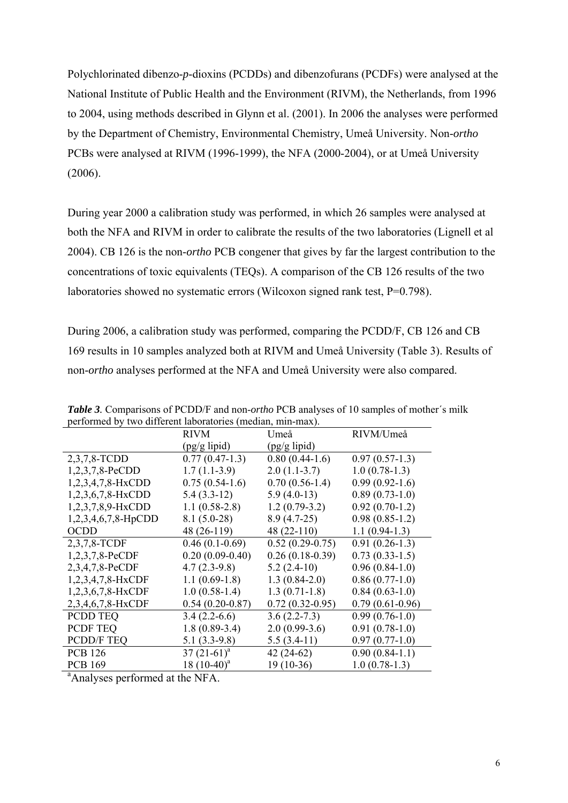Polychlorinated dibenzo-*p*-dioxins (PCDDs) and dibenzofurans (PCDFs) were analysed at the National Institute of Public Health and the Environment (RIVM), the Netherlands, from 1996 to 2004, using methods described in Glynn et al. (2001). In 2006 the analyses were performed by the Department of Chemistry, Environmental Chemistry, Umeå University. Non-*ortho*  PCBs were analysed at RIVM (1996-1999), the NFA (2000-2004), or at Umeå University (2006).

During year 2000 a calibration study was performed, in which 26 samples were analysed at both the NFA and RIVM in order to calibrate the results of the two laboratories (Lignell et al 2004). CB 126 is the non-*ortho* PCB congener that gives by far the largest contribution to the concentrations of toxic equivalents (TEQs). A comparison of the CB 126 results of the two laboratories showed no systematic errors (Wilcoxon signed rank test, P=0.798).

During 2006, a calibration study was performed, comparing the PCDD/F, CB 126 and CB 169 results in 10 samples analyzed both at RIVM and Umeå University (Table 3). Results of non-*ortho* analyses performed at the NFA and Umeå University were also compared.

| $\alpha$ of $\alpha$ and $\alpha$ and $\alpha$ and $\alpha$ and $\alpha$ and $\alpha$ and $\alpha$ and $\alpha$ and $\alpha$ and $\alpha$ and $\alpha$ and $\alpha$ and $\alpha$ and $\alpha$ and $\alpha$ and $\alpha$ and $\alpha$ and $\alpha$ and $\alpha$ and $\alpha$ and $\alpha$ and $\alpha$ and $\alpha$ and $\alpha$ a |                   |                   |                   |  |  |  |  |
|-----------------------------------------------------------------------------------------------------------------------------------------------------------------------------------------------------------------------------------------------------------------------------------------------------------------------------------|-------------------|-------------------|-------------------|--|--|--|--|
|                                                                                                                                                                                                                                                                                                                                   | <b>RIVM</b>       | Umeå              | RIVM/Umeå         |  |  |  |  |
|                                                                                                                                                                                                                                                                                                                                   | $(pg/g$ lipid)    | $(pg/g$ lipid)    |                   |  |  |  |  |
| 2,3,7,8-TCDD                                                                                                                                                                                                                                                                                                                      | $0.77(0.47-1.3)$  | $0.80(0.44-1.6)$  | $0.97(0.57-1.3)$  |  |  |  |  |
| $1,2,3,7,8$ -PeCDD                                                                                                                                                                                                                                                                                                                | $1.7(1.1-3.9)$    | $2.0(1.1-3.7)$    | $1.0(0.78-1.3)$   |  |  |  |  |
| $1,2,3,4,7,8-HxCDD$                                                                                                                                                                                                                                                                                                               | $0.75(0.54-1.6)$  | $0.70(0.56-1.4)$  | $0.99(0.92-1.6)$  |  |  |  |  |
| $1,2,3,6,7,8-HxCDD$                                                                                                                                                                                                                                                                                                               | $5.4(3.3-12)$     | $5.9(4.0-13)$     | $0.89(0.73-1.0)$  |  |  |  |  |
| 1,2,3,7,8,9-HxCDD                                                                                                                                                                                                                                                                                                                 | $1.1(0.58-2.8)$   | $1.2(0.79-3.2)$   | $0.92(0.70-1.2)$  |  |  |  |  |
| $1,2,3,4,6,7,8$ -HpCDD                                                                                                                                                                                                                                                                                                            | $8.1(5.0-28)$     | $8.9(4.7-25)$     | $0.98(0.85-1.2)$  |  |  |  |  |
| OCDD                                                                                                                                                                                                                                                                                                                              | 48 (26-119)       | 48 (22-110)       | $1.1(0.94-1.3)$   |  |  |  |  |
| 2,3,7,8-TCDF                                                                                                                                                                                                                                                                                                                      | $0.46(0.1-0.69)$  | $0.52(0.29-0.75)$ | $0.91(0.26-1.3)$  |  |  |  |  |
| $1,2,3,7,8-PeCDF$                                                                                                                                                                                                                                                                                                                 | $0.20(0.09-0.40)$ | $0.26(0.18-0.39)$ | $0.73(0.33-1.5)$  |  |  |  |  |
| 2,3,4,7,8-PeCDF                                                                                                                                                                                                                                                                                                                   | $4.7(2.3-9.8)$    | $5.2(2.4-10)$     | $0.96(0.84-1.0)$  |  |  |  |  |
| 1,2,3,4,7,8-HxCDF                                                                                                                                                                                                                                                                                                                 | $1.1(0.69-1.8)$   | $1.3(0.84-2.0)$   | $0.86(0.77-1.0)$  |  |  |  |  |
| $1,2,3,6,7,8-HxCDF$                                                                                                                                                                                                                                                                                                               | $1.0(0.58-1.4)$   | $1.3(0.71-1.8)$   | $0.84(0.63-1.0)$  |  |  |  |  |
| 2,3,4,6,7,8-HxCDF                                                                                                                                                                                                                                                                                                                 | $0.54(0.20-0.87)$ | $0.72(0.32-0.95)$ | $0.79(0.61-0.96)$ |  |  |  |  |
| <b>PCDD TEQ</b>                                                                                                                                                                                                                                                                                                                   | $3.4(2.2-6.6)$    | $3.6(2.2 - 7.3)$  | $0.99(0.76-1.0)$  |  |  |  |  |
| PCDF TEQ                                                                                                                                                                                                                                                                                                                          | $1.8(0.89-3.4)$   | $2.0(0.99-3.6)$   | $0.91(0.78-1.0)$  |  |  |  |  |
| <b>PCDD/F TEQ</b>                                                                                                                                                                                                                                                                                                                 | $5.1(3.3-9.8)$    | $5.5(3.4-11)$     | $0.97(0.77-1.0)$  |  |  |  |  |
| <b>PCB 126</b>                                                                                                                                                                                                                                                                                                                    | $37(21-61)^a$     | $42(24-62)$       | $0.90(0.84-1.1)$  |  |  |  |  |
| <b>PCB 169</b>                                                                                                                                                                                                                                                                                                                    | 18 $(10-40)^a$    | $19(10-36)$       | $1.0(0.78-1.3)$   |  |  |  |  |
| <sup>a</sup> Analyses performed at the NFA.                                                                                                                                                                                                                                                                                       |                   |                   |                   |  |  |  |  |

*Table 3.* Comparisons of PCDD/F and non-*ortho* PCB analyses of 10 samples of mother´s milk performed by two different laboratories (median, min-max).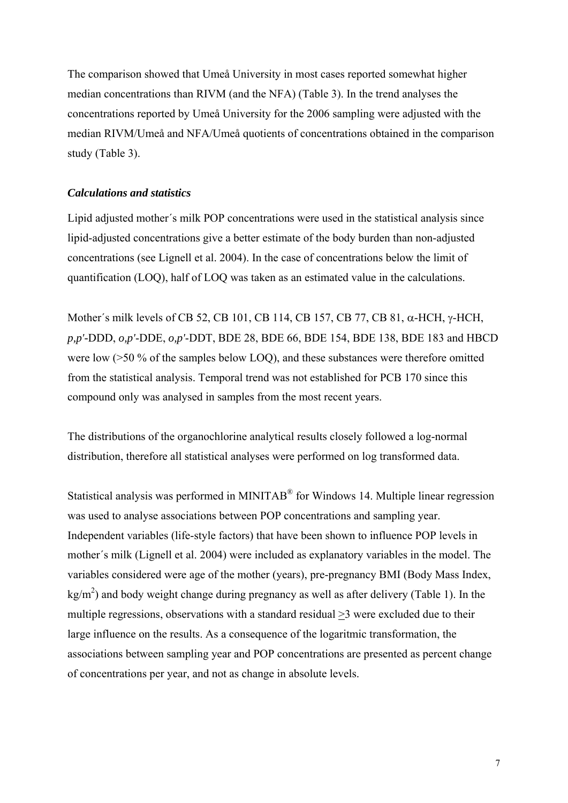The comparison showed that Umeå University in most cases reported somewhat higher median concentrations than RIVM (and the NFA) (Table 3). In the trend analyses the concentrations reported by Umeå University for the 2006 sampling were adjusted with the median RIVM/Umeå and NFA/Umeå quotients of concentrations obtained in the comparison study (Table 3).

#### *Calculations and statistics*

Lipid adjusted mother´s milk POP concentrations were used in the statistical analysis since lipid-adjusted concentrations give a better estimate of the body burden than non-adjusted concentrations (see Lignell et al. 2004). In the case of concentrations below the limit of quantification (LOQ), half of LOQ was taken as an estimated value in the calculations.

Mother´s milk levels of CB 52, CB 101, CB 114, CB 157, CB 77, CB 81, α-HCH, γ-HCH, *p,p'-*DDD, *o,p'*-DDE, *o,p'*-DDT, BDE 28, BDE 66, BDE 154, BDE 138, BDE 183 and HBCD were low (>50 % of the samples below LOQ), and these substances were therefore omitted from the statistical analysis. Temporal trend was not established for PCB 170 since this compound only was analysed in samples from the most recent years.

The distributions of the organochlorine analytical results closely followed a log-normal distribution, therefore all statistical analyses were performed on log transformed data.

Statistical analysis was performed in MINITAB® for Windows 14. Multiple linear regression was used to analyse associations between POP concentrations and sampling year. Independent variables (life-style factors) that have been shown to influence POP levels in mother´s milk (Lignell et al. 2004) were included as explanatory variables in the model. The variables considered were age of the mother (years), pre-pregnancy BMI (Body Mass Index,  $\text{kg/m}^2$ ) and body weight change during pregnancy as well as after delivery (Table 1). In the multiple regressions, observations with a standard residual >3 were excluded due to their large influence on the results. As a consequence of the logaritmic transformation, the associations between sampling year and POP concentrations are presented as percent change of concentrations per year, and not as change in absolute levels.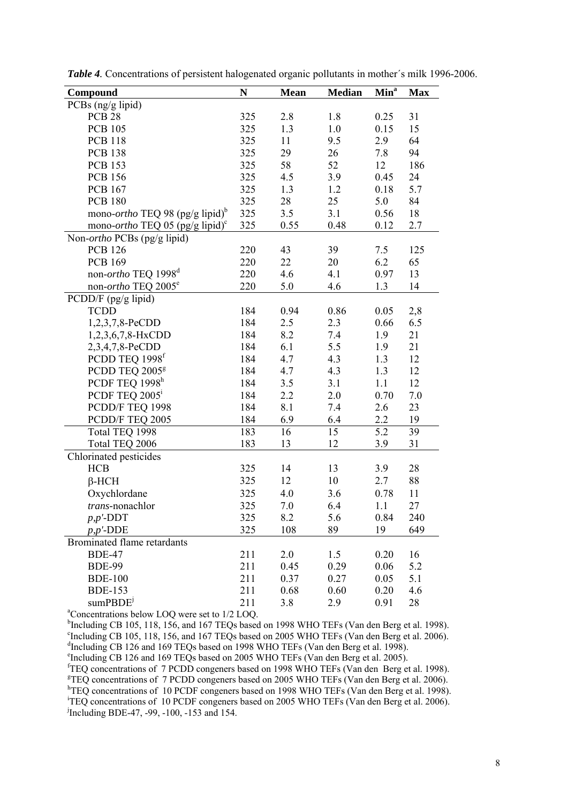| Compound                                                   | N   | <b>Mean</b> | <b>Median</b> | Min <sup>a</sup> | <b>Max</b> |  |
|------------------------------------------------------------|-----|-------------|---------------|------------------|------------|--|
| PCBs (ng/g lipid)                                          |     |             |               |                  |            |  |
| <b>PCB 28</b>                                              | 325 | 2.8         | 1.8           | 0.25             | 31         |  |
| <b>PCB 105</b>                                             | 325 | 1.3         | 1.0           | 0.15             | 15         |  |
| <b>PCB 118</b>                                             | 325 | 11          | 9.5           | 2.9              | 64         |  |
| <b>PCB 138</b>                                             | 325 | 29          | 26            | 7.8              | 94         |  |
| <b>PCB 153</b>                                             | 325 | 58          | 52            | 12               | 186        |  |
| <b>PCB 156</b>                                             | 325 | 4.5         | 3.9           | 0.45             | 24         |  |
| <b>PCB 167</b>                                             | 325 | 1.3         | 1.2           | 0.18             | 5.7        |  |
| <b>PCB 180</b>                                             | 325 | 28          | 25            | 5.0              | 84         |  |
| mono- <i>ortho</i> TEQ 98 (pg/g lipid) <sup>b</sup>        | 325 | 3.5         | 3.1           | 0.56             | 18         |  |
| mono-ortho TEQ 05 (pg/g lipid) <sup>c</sup>                | 325 | 0.55        | 0.48          | 0.12             | 2.7        |  |
| Non- <i>ortho</i> PCBs (pg/g lipid)                        |     |             |               |                  |            |  |
| <b>PCB 126</b>                                             | 220 | 43          | 39            | 7.5              | 125        |  |
| <b>PCB 169</b>                                             | 220 | 22          | 20            | 6.2              | 65         |  |
| non-ortho TEQ 1998 <sup>d</sup>                            | 220 | 4.6         | 4.1           | 0.97             | 13         |  |
| non- <i>ortho</i> TEQ 2005 <sup>e</sup>                    | 220 | 5.0         | 4.6           | 1.3              | 14         |  |
| PCDD/F (pg/g lipid)                                        |     |             |               |                  |            |  |
| <b>TCDD</b>                                                | 184 | 0.94        | 0.86          | 0.05             | 2,8        |  |
| 1,2,3,7,8-PeCDD                                            | 184 | 2.5         | 2.3           | 0.66             | 6.5        |  |
| 1,2,3,6,7,8-HxCDD                                          | 184 | 8.2         | 7.4           | 1.9              | 21         |  |
| 2,3,4,7,8-PeCDD                                            | 184 | 6.1         | 5.5           | 1.9              | 21         |  |
| PCDD TEQ 1998 <sup>f</sup>                                 | 184 | 4.7         | 4.3           | 1.3              | 12         |  |
| PCDD TEQ 2005 <sup>g</sup>                                 | 184 | 4.7         | 4.3           | 1.3              | 12         |  |
| PCDF TEQ 1998 <sup>h</sup>                                 | 184 | 3.5         | 3.1           | 1.1              | 12         |  |
| PCDF TEQ 2005 <sup>1</sup>                                 | 184 | 2.2         | 2.0           | 0.70             | 7.0        |  |
| PCDD/F TEQ 1998                                            | 184 | 8.1         | 7.4           | 2.6              | 23         |  |
| PCDD/F TEQ 2005                                            | 184 | 6.9         | 6.4           | 2.2              | 19         |  |
| Total TEQ 1998                                             | 183 | 16          | 15            | 5.2              | 39         |  |
| Total TEQ 2006                                             | 183 | 13          | 12            | 3.9              | 31         |  |
| Chlorinated pesticides                                     |     |             |               |                  |            |  |
| <b>HCB</b>                                                 | 325 | 14          | 13            | 3.9              | 28         |  |
| $\beta$ -HCH                                               | 325 | 12          | 10            | 2.7              | 88         |  |
| Oxychlordane                                               | 325 | 4.0         | 3.6           | 0.78             | 11         |  |
| trans-nonachlor                                            | 325 | 7.0         | 6.4           | 1.1              | 27         |  |
| $p, p'$ -DDT                                               | 325 | 8.2         | 5.6           | 0.84             | 240        |  |
| $p, p'$ -DDE                                               | 325 | 108         | 89            | 19               | 649        |  |
| Brominated flame retardants                                |     |             |               |                  |            |  |
| <b>BDE-47</b>                                              | 211 | 2.0         | 1.5           | 0.20             | 16         |  |
| <b>BDE-99</b>                                              | 211 | 0.45        | 0.29          | 0.06             | 5.2        |  |
| <b>BDE-100</b>                                             | 211 | 0.37        | 0.27          | 0.05             | 5.1        |  |
| <b>BDE-153</b>                                             | 211 | 0.68        | 0.60          | 0.20             | 4.6        |  |
| sumPBDE <sup>j</sup>                                       | 211 | 3.8         | 2.9           | 0.91             | 28         |  |
| <sup>a</sup> Concentrations below LOQ were set to 1/2 LOQ. |     |             |               |                  |            |  |

*Table 4.* Concentrations of persistent halogenated organic pollutants in mother´s milk 1996-2006.

<sup>b</sup>Including CB 105, 118, 156, and 167 TEQs based on 1998 WHO TEFs (Van den Berg et al. 1998). <sup>c</sup>Including CB 105, 118, 156, and 167 TEQs based on 2005 WHO TEFs (Van den Berg et al. 2006). <sup>d</sup>Including CB 126 and 169 TEQs based on 1998 WHO TEFs (Van den Berg et al. 1998).

e Including CB 126 and 169 TEQs based on 2005 WHO TEFs (Van den Berg et al. 2005).

<sup>f</sup>TEQ concentrations of 7 PCDD congeners based on 1998 WHO TEFs (Van den Berg et al. 1998).<br><sup>g</sup>TEQ concentrations of 7 PCDD congeners based on 2005 WHO TEFs (Van den Berg et al. 2006). <sup>h</sup>TEQ concentrations of 10 PCDF congeners based on 1998 WHO TEFs (Van den Berg et al. 1998). i TEQ concentrations of 10 PCDF congeners based on 2005 WHO TEFs (Van den Berg et al. 2006). j Including BDE-47, -99, -100, -153 and 154.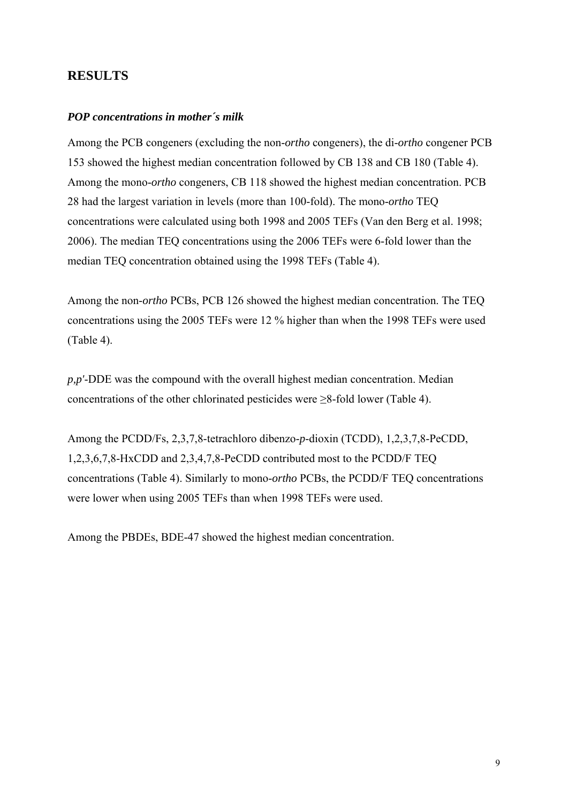## **RESULTS**

#### *POP concentrations in mother´s milk*

Among the PCB congeners (excluding the non-*ortho* congeners), the di-*ortho* congener PCB 153 showed the highest median concentration followed by CB 138 and CB 180 (Table 4). Among the mono-*ortho* congeners, CB 118 showed the highest median concentration. PCB 28 had the largest variation in levels (more than 100-fold). The mono-*ortho* TEQ concentrations were calculated using both 1998 and 2005 TEFs (Van den Berg et al. 1998; 2006). The median TEQ concentrations using the 2006 TEFs were 6-fold lower than the median TEQ concentration obtained using the 1998 TEFs (Table 4).

Among the non-*ortho* PCBs, PCB 126 showed the highest median concentration. The TEQ concentrations using the 2005 TEFs were 12 % higher than when the 1998 TEFs were used (Table 4).

*p,p'*-DDE was the compound with the overall highest median concentration. Median concentrations of the other chlorinated pesticides were  $\geq 8$ -fold lower (Table 4).

Among the PCDD/Fs, 2,3,7,8-tetrachloro dibenzo-*p*-dioxin (TCDD), 1,2,3,7,8-PeCDD, 1,2,3,6,7,8-HxCDD and 2,3,4,7,8-PeCDD contributed most to the PCDD/F TEQ concentrations (Table 4). Similarly to mono-*ortho* PCBs, the PCDD/F TEQ concentrations were lower when using 2005 TEFs than when 1998 TEFs were used.

Among the PBDEs, BDE-47 showed the highest median concentration.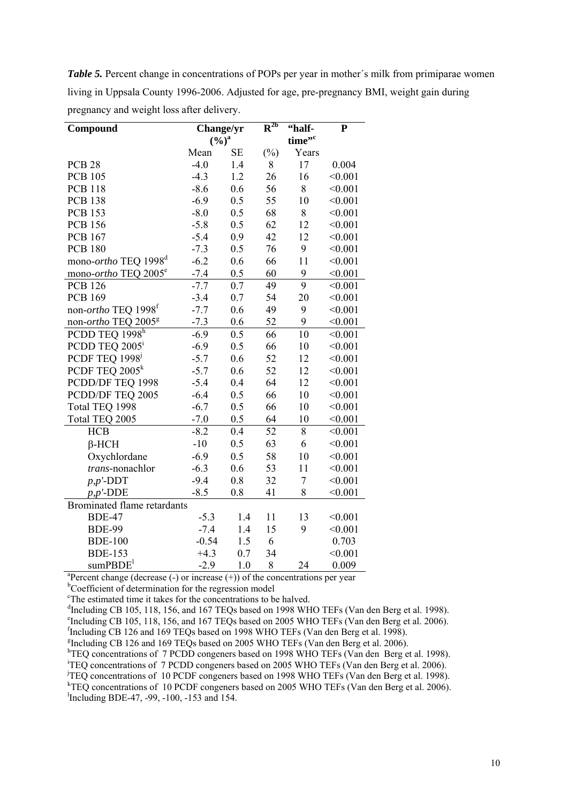*Table 5.* Percent change in concentrations of POPs per year in mother's milk from primiparae women living in Uppsala County 1996-2006. Adjusted for age, pre-pregnancy BMI, weight gain during pregnancy and weight loss after delivery.

| Compound                                                                              | Change/yr   |           | $\mathbf{R}^{\text{2b}}$ | "half-         | $\overline{\mathbf{P}}$ |  |
|---------------------------------------------------------------------------------------|-------------|-----------|--------------------------|----------------|-------------------------|--|
|                                                                                       | $(9/6)^{a}$ |           |                          | time".         |                         |  |
|                                                                                       | Mean        | <b>SE</b> | $(\%)$                   | Years          |                         |  |
| <b>PCB 28</b>                                                                         | $-4.0$      | 1.4       | 8                        | 17             | 0.004                   |  |
| <b>PCB 105</b>                                                                        | $-4.3$      | 1.2       | 26                       | 16             | < 0.001                 |  |
| <b>PCB 118</b>                                                                        | $-8.6$      | 0.6       | 56                       | 8              | < 0.001                 |  |
| <b>PCB 138</b>                                                                        | $-6.9$      | 0.5       | 55                       | 10             | < 0.001                 |  |
| <b>PCB 153</b>                                                                        | $-8.0$      | 0.5       | 68                       | 8              | < 0.001                 |  |
| <b>PCB 156</b>                                                                        | $-5.8$      | 0.5       | 62                       | 12             | < 0.001                 |  |
| <b>PCB 167</b>                                                                        | $-5.4$      | 0.9       | 42                       | 12             | < 0.001                 |  |
| <b>PCB 180</b>                                                                        | $-7.3$      | 0.5       | 76                       | 9              | < 0.001                 |  |
| mono-ortho TEQ 1998 <sup>d</sup>                                                      | $-6.2$      | 0.6       | 66                       | 11             | < 0.001                 |  |
| mono-ortho TEQ 2005 <sup>e</sup>                                                      | $-7.4$      | 0.5       | 60                       | 9              | < 0.001                 |  |
| <b>PCB 126</b>                                                                        | $-7.7$      | 0.7       | 49                       | 9              | < 0.001                 |  |
| <b>PCB 169</b>                                                                        | $-3.4$      | 0.7       | 54                       | 20             | < 0.001                 |  |
| non- <i>ortho</i> TEQ 1998 <sup>f</sup>                                               | $-7.7$      | 0.6       | 49                       | 9              | < 0.001                 |  |
| non-ortho TEQ 2005 <sup>g</sup>                                                       | $-7.3$      | 0.6       | 52                       | 9              | < 0.001                 |  |
| PCDD TEQ 1998h                                                                        | $-6.9$      | 0.5       | 66                       | 10             | < 0.001                 |  |
| PCDD TEQ 2005 <sup>i</sup>                                                            | $-6.9$      | 0.5       | 66                       | 10             | < 0.001                 |  |
| PCDF TEQ 1998 <sup>1</sup>                                                            | $-5.7$      | 0.6       | 52                       | 12             | < 0.001                 |  |
| PCDF TEQ $2005k$                                                                      | $-5.7$      | 0.6       | 52                       | 12             | < 0.001                 |  |
| PCDD/DF TEQ 1998                                                                      | $-5.4$      | 0.4       | 64                       | 12             | < 0.001                 |  |
| PCDD/DF TEQ 2005                                                                      | $-6.4$      | 0.5       | 66                       | 10             | < 0.001                 |  |
| Total TEQ 1998                                                                        | $-6.7$      | 0.5       | 66                       | 10             | < 0.001                 |  |
| Total TEQ 2005                                                                        | $-7.0$      | 0.5       | 64                       | 10             | < 0.001                 |  |
| <b>HCB</b>                                                                            | $-8.2$      | 0.4       | 52                       | 8              | < 0.001                 |  |
| $\beta$ -HCH                                                                          | $-10$       | 0.5       | 63                       | 6              | < 0.001                 |  |
| Oxychlordane                                                                          | $-6.9$      | 0.5       | 58                       | 10             | < 0.001                 |  |
| trans-nonachlor                                                                       | $-6.3$      | 0.6       | 53                       | 11             | < 0.001                 |  |
| $p, p'$ -DDT                                                                          | $-9.4$      | 0.8       | 32                       | $\overline{7}$ | < 0.001                 |  |
| $p, p'$ -DDE                                                                          | $-8.5$      | 0.8       | 41                       | 8              | < 0.001                 |  |
| Brominated flame retardants                                                           |             |           |                          |                |                         |  |
| <b>BDE-47</b>                                                                         | $-5.3$      | 1.4       | 11                       | 13             | < 0.001                 |  |
| <b>BDE-99</b>                                                                         | $-7.4$      | 1.4       | 15                       | 9              | < 0.001                 |  |
| <b>BDE-100</b>                                                                        | $-0.54$     | 1.5       | 6                        |                | 0.703                   |  |
| <b>BDE-153</b>                                                                        | $+4.3$      | 0.7       | 34                       |                | < 0.001                 |  |
| sumPBDE <sup>1</sup>                                                                  | $-2.9$      | 1.0       | 8                        | 24             | 0.009                   |  |
| ${}^{a}$ Percent change (decrease (-) or increase (+)) of the concentrations per year |             |           |                          |                |                         |  |

<sup>b</sup>Coefficient of determination for the regression model

<sup>c</sup>The estimated time it takes for the concentrations to be halved.

<sup>d</sup>Including CB 105, 118, 156, and 167 TEQs based on 1998 WHO TEFs (Van den Berg et al. 1998).

<sup>e</sup>Including CB 105, 118, 156, and 167 TEQs based on 2005 WHO TEFs (Van den Berg et al. 2006).

f Including CB 126 and 169 TEQs based on 1998 WHO TEFs (Van den Berg et al. 1998).

<sup>g</sup>Including CB 126 and 169 TEQs based on 2005 WHO TEFs (Van den Berg et al. 2006).

<sup>h</sup>TEQ concentrations of 7 PCDD congeners based on 1998 WHO TEFs (Van den Berg et al. 1998).

i TEQ concentrations of 7 PCDD congeners based on 2005 WHO TEFs (Van den Berg et al. 2006).

j TEQ concentrations of 10 PCDF congeners based on 1998 WHO TEFs (Van den Berg et al. 1998).

<sup>k</sup>TEQ concentrations of 10 PCDF congeners based on 2005 WHO TEFs (Van den Berg et al. 2006). l Including BDE-47, -99, -100, -153 and 154.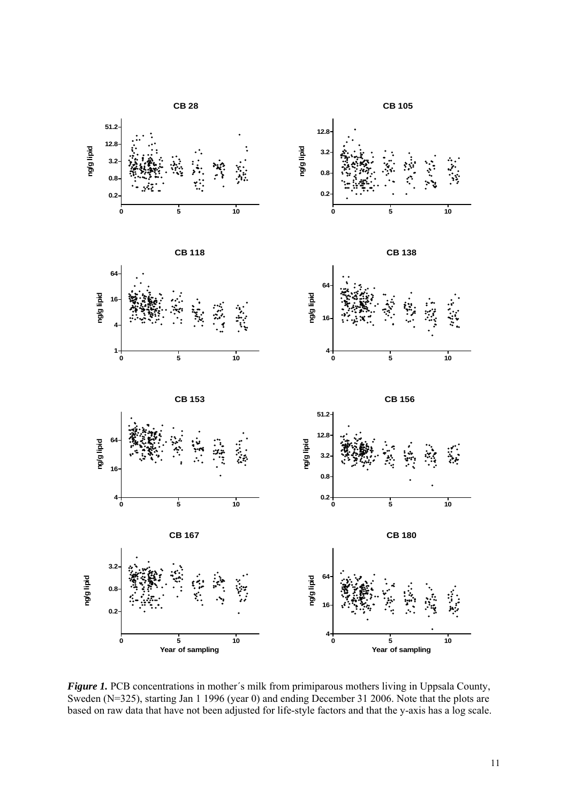

*Figure 1.* PCB concentrations in mother's milk from primiparous mothers living in Uppsala County, Sweden (N=325), starting Jan 1 1996 (year 0) and ending December 31 2006. Note that the plots are based on raw data that have not been adjusted for life-style factors and that the y-axis has a log scale.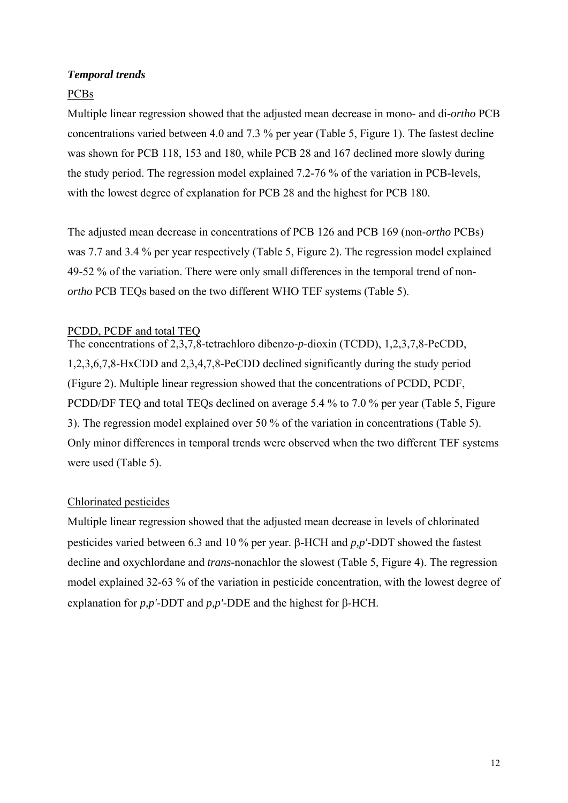## *Temporal trends*

## PCBs

Multiple linear regression showed that the adjusted mean decrease in mono- and di*-ortho* PCB concentrations varied between 4.0 and 7.3 % per year (Table 5, Figure 1). The fastest decline was shown for PCB 118, 153 and 180, while PCB 28 and 167 declined more slowly during the study period. The regression model explained 7.2-76 % of the variation in PCB-levels, with the lowest degree of explanation for PCB 28 and the highest for PCB 180.

The adjusted mean decrease in concentrations of PCB 126 and PCB 169 (non-*ortho* PCBs) was 7.7 and 3.4 % per year respectively (Table 5, Figure 2). The regression model explained 49-52 % of the variation. There were only small differences in the temporal trend of non*ortho* PCB TEQs based on the two different WHO TEF systems (Table 5).

### PCDD, PCDF and total TEQ

The concentrations of 2,3,7,8-tetrachloro dibenzo-*p*-dioxin (TCDD), 1,2,3,7,8-PeCDD, 1,2,3,6,7,8-HxCDD and 2,3,4,7,8-PeCDD declined significantly during the study period (Figure 2). Multiple linear regression showed that the concentrations of PCDD, PCDF, PCDD/DF TEQ and total TEQs declined on average 5.4 % to 7.0 % per year (Table 5, Figure 3). The regression model explained over 50 % of the variation in concentrations (Table 5). Only minor differences in temporal trends were observed when the two different TEF systems were used (Table 5).

### Chlorinated pesticides

Multiple linear regression showed that the adjusted mean decrease in levels of chlorinated pesticides varied between 6.3 and 10 % per year. β-HCH and *p,p'*-DDT showed the fastest decline and oxychlordane and *trans-*nonachlor the slowest (Table 5, Figure 4). The regression model explained 32-63 % of the variation in pesticide concentration, with the lowest degree of explanation for *p,p'*-DDT and *p,p'*-DDE and the highest for β-HCH.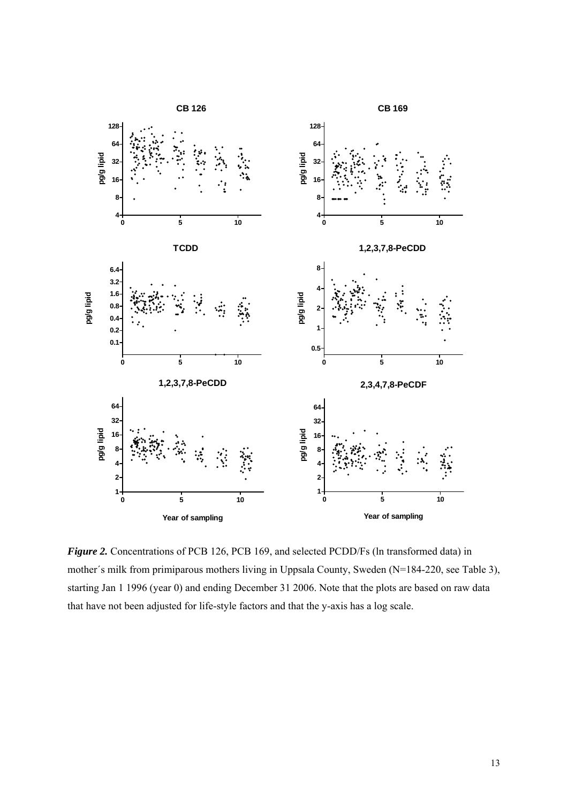

*Figure 2.* Concentrations of PCB 126, PCB 169, and selected PCDD/Fs (ln transformed data) in mother´s milk from primiparous mothers living in Uppsala County, Sweden (N=184-220, see Table 3), starting Jan 1 1996 (year 0) and ending December 31 2006. Note that the plots are based on raw data that have not been adjusted for life-style factors and that the y-axis has a log scale.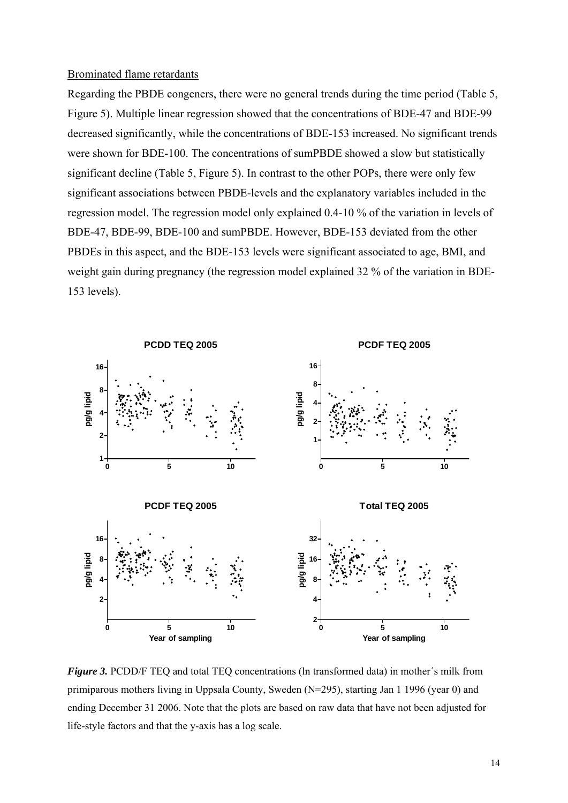#### Brominated flame retardants

Regarding the PBDE congeners, there were no general trends during the time period (Table 5, Figure 5). Multiple linear regression showed that the concentrations of BDE-47 and BDE-99 decreased significantly, while the concentrations of BDE-153 increased. No significant trends were shown for BDE-100. The concentrations of sumPBDE showed a slow but statistically significant decline (Table 5, Figure 5). In contrast to the other POPs, there were only few significant associations between PBDE-levels and the explanatory variables included in the regression model. The regression model only explained 0.4-10 % of the variation in levels of BDE-47, BDE-99, BDE-100 and sumPBDE. However, BDE-153 deviated from the other PBDEs in this aspect, and the BDE-153 levels were significant associated to age, BMI, and weight gain during pregnancy (the regression model explained 32 % of the variation in BDE-153 levels).



*Figure 3.* PCDD/F TEQ and total TEQ concentrations (In transformed data) in mother's milk from primiparous mothers living in Uppsala County, Sweden (N=295), starting Jan 1 1996 (year 0) and ending December 31 2006. Note that the plots are based on raw data that have not been adjusted for life-style factors and that the y-axis has a log scale.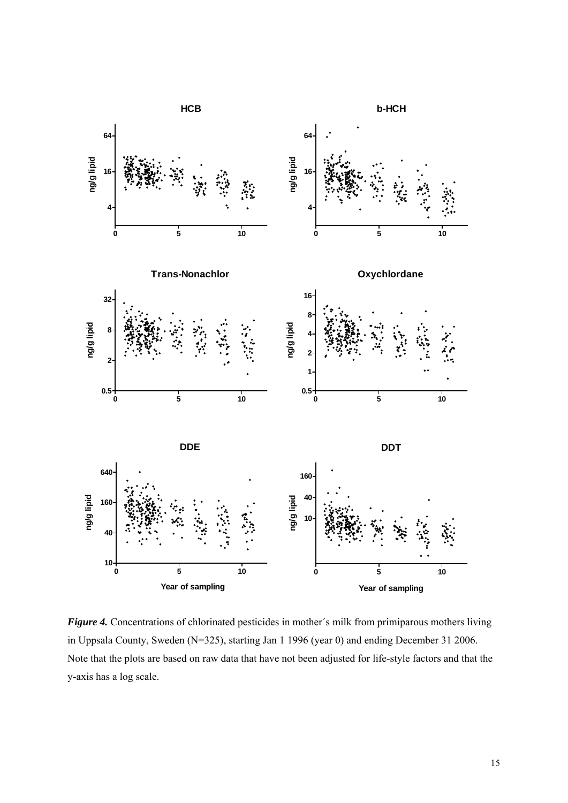

*Figure 4.* Concentrations of chlorinated pesticides in mother's milk from primiparous mothers living in Uppsala County, Sweden (N=325), starting Jan 1 1996 (year 0) and ending December 31 2006. Note that the plots are based on raw data that have not been adjusted for life-style factors and that the y-axis has a log scale.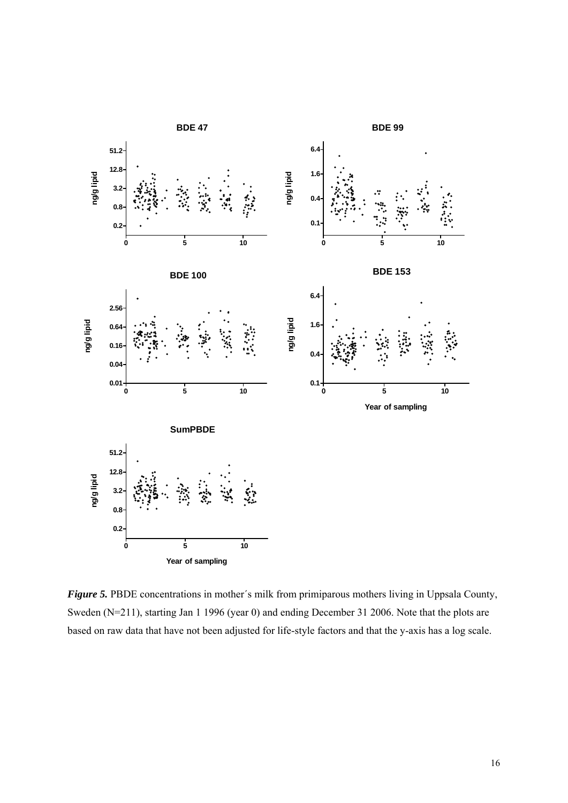

*Figure 5.* PBDE concentrations in mother's milk from primiparous mothers living in Uppsala County, Sweden (N=211), starting Jan 1 1996 (year 0) and ending December 31 2006. Note that the plots are based on raw data that have not been adjusted for life-style factors and that the y-axis has a log scale.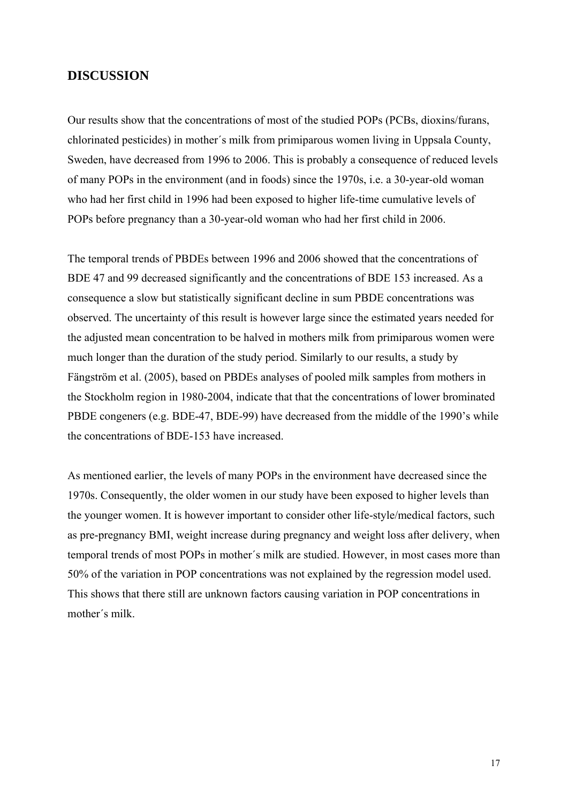### **DISCUSSION**

Our results show that the concentrations of most of the studied POPs (PCBs, dioxins/furans, chlorinated pesticides) in mother´s milk from primiparous women living in Uppsala County, Sweden, have decreased from 1996 to 2006. This is probably a consequence of reduced levels of many POPs in the environment (and in foods) since the 1970s, i.e. a 30-year-old woman who had her first child in 1996 had been exposed to higher life-time cumulative levels of POPs before pregnancy than a 30-year-old woman who had her first child in 2006.

The temporal trends of PBDEs between 1996 and 2006 showed that the concentrations of BDE 47 and 99 decreased significantly and the concentrations of BDE 153 increased. As a consequence a slow but statistically significant decline in sum PBDE concentrations was observed. The uncertainty of this result is however large since the estimated years needed for the adjusted mean concentration to be halved in mothers milk from primiparous women were much longer than the duration of the study period. Similarly to our results, a study by Fängström et al. (2005), based on PBDEs analyses of pooled milk samples from mothers in the Stockholm region in 1980-2004, indicate that that the concentrations of lower brominated PBDE congeners (e.g. BDE-47, BDE-99) have decreased from the middle of the 1990's while the concentrations of BDE-153 have increased.

As mentioned earlier, the levels of many POPs in the environment have decreased since the 1970s. Consequently, the older women in our study have been exposed to higher levels than the younger women. It is however important to consider other life-style/medical factors, such as pre-pregnancy BMI, weight increase during pregnancy and weight loss after delivery, when temporal trends of most POPs in mother´s milk are studied. However, in most cases more than 50% of the variation in POP concentrations was not explained by the regression model used. This shows that there still are unknown factors causing variation in POP concentrations in mother´s milk.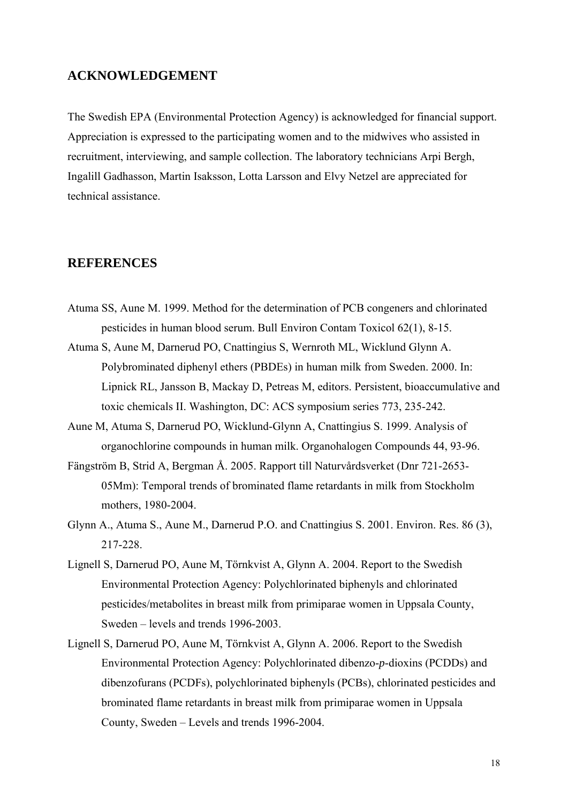## **ACKNOWLEDGEMENT**

The Swedish EPA (Environmental Protection Agency) is acknowledged for financial support. Appreciation is expressed to the participating women and to the midwives who assisted in recruitment, interviewing, and sample collection. The laboratory technicians Arpi Bergh, Ingalill Gadhasson, Martin Isaksson, Lotta Larsson and Elvy Netzel are appreciated for technical assistance.

## **REFERENCES**

- Atuma SS, Aune M. 1999. Method for the determination of PCB congeners and chlorinated pesticides in human blood serum. Bull Environ Contam Toxicol 62(1), 8-15.
- Atuma S, Aune M, Darnerud PO, Cnattingius S, Wernroth ML, Wicklund Glynn A. Polybrominated diphenyl ethers (PBDEs) in human milk from Sweden. 2000. In: Lipnick RL, Jansson B, Mackay D, Petreas M, editors. Persistent, bioaccumulative and toxic chemicals II. Washington, DC: ACS symposium series 773, 235-242.
- Aune M, Atuma S, Darnerud PO, Wicklund-Glynn A, Cnattingius S. 1999. Analysis of organochlorine compounds in human milk. Organohalogen Compounds 44, 93-96.
- Fängström B, Strid A, Bergman Å. 2005. Rapport till Naturvårdsverket (Dnr 721-2653- 05Mm): Temporal trends of brominated flame retardants in milk from Stockholm mothers, 1980-2004.
- Glynn A., Atuma S., Aune M., Darnerud P.O. and Cnattingius S. 2001. Environ. Res. 86 (3), 217-228.
- Lignell S, Darnerud PO, Aune M, Törnkvist A, Glynn A. 2004. Report to the Swedish Environmental Protection Agency: Polychlorinated biphenyls and chlorinated pesticides/metabolites in breast milk from primiparae women in Uppsala County, Sweden – levels and trends 1996-2003.
- Lignell S, Darnerud PO, Aune M, Törnkvist A, Glynn A. 2006. Report to the Swedish Environmental Protection Agency: Polychlorinated dibenzo-*p*-dioxins (PCDDs) and dibenzofurans (PCDFs), polychlorinated biphenyls (PCBs), chlorinated pesticides and brominated flame retardants in breast milk from primiparae women in Uppsala County, Sweden – Levels and trends 1996-2004.